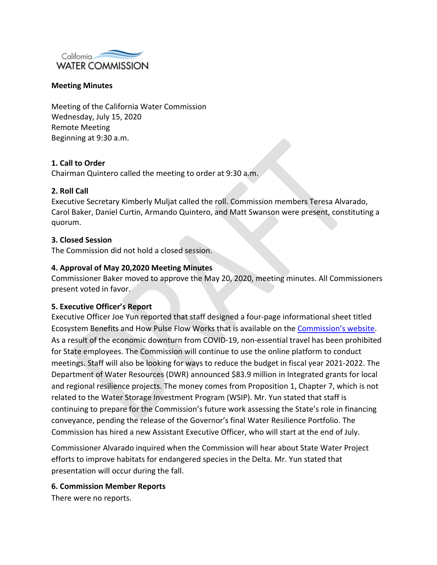

### **Meeting Minutes**

Meeting of the California Water Commission Wednesday, July 15, 2020 Remote Meeting Beginning at 9:30 a.m.

# **1. Call to Order**

Chairman Quintero called the meeting to order at 9:30 a.m.

### **2. Roll Call**

Executive Secretary Kimberly Muljat called the roll. Commission members Teresa Alvarado, Carol Baker, Daniel Curtin, Armando Quintero, and Matt Swanson were present, constituting a quorum.

### **3. Closed Session**

The Commission did not hold a closed session.

### **4. Approval of May 20,2020 Meeting Minutes**

Commissioner Baker moved to approve the May 20, 2020, meeting minutes. All Commissioners present voted in favor.

#### **5. Executive Officer's Report**

Executive Officer Joe Yun reported that staff designed a four-page informational sheet titled Ecosystem Benefits and How Pulse Flow Works that is available on the [Commission's website.](https://cwc.ca.gov/-/media/CWC-Website/Files/Documents/2020/WSIP/WSIP-UPDATE-2020.pdf?la=en&hash=B1238890F50CE50A6A07EAE45E20DD59F7136BCA) As a result of the economic downturn from COVID-19, non-essential travel has been prohibited for State employees. The Commission will continue to use the online platform to conduct meetings. Staff will also be looking for ways to reduce the budget in fiscal year 2021-2022. The Department of Water Resources (DWR) announced \$83.9 million in Integrated grants for local and regional resilience projects. The money comes from Proposition 1, Chapter 7, which is not related to the Water Storage Investment Program (WSIP). Mr. Yun stated that staff is continuing to prepare for the Commission's future work assessing the State's role in financing conveyance, pending the release of the Governor's final Water Resilience Portfolio. The Commission has hired a new Assistant Executive Officer, who will start at the end of July.

Commissioner Alvarado inquired when the Commission will hear about State Water Project efforts to improve habitats for endangered species in the Delta. Mr. Yun stated that presentation will occur during the fall.

#### **6. Commission Member Reports**

There were no reports.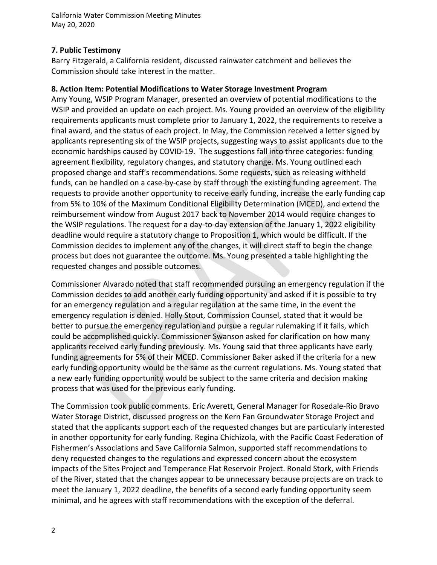California Water Commission Meeting Minutes May 20, 2020

# **7. Public Testimony**

Barry Fitzgerald, a California resident, discussed rainwater catchment and believes the Commission should take interest in the matter.

# **8. Action Item: Potential Modifications to Water Storage Investment Program**

Amy Young, WSIP Program Manager, presented an overview of potential modifications to the WSIP and provided an update on each project. Ms. Young provided an overview of the eligibility requirements applicants must complete prior to January 1, 2022, the requirements to receive a final award, and the status of each project. In May, the Commission received a letter signed by applicants representing six of the WSIP projects, suggesting ways to assist applicants due to the economic hardships caused by COVID-19. The suggestions fall into three categories: funding agreement flexibility, regulatory changes, and statutory change. Ms. Young outlined each proposed change and staff's recommendations. Some requests, such as releasing withheld funds, can be handled on a case-by-case by staff through the existing funding agreement. The requests to provide another opportunity to receive early funding, increase the early funding cap from 5% to 10% of the Maximum Conditional Eligibility Determination (MCED), and extend the reimbursement window from August 2017 back to November 2014 would require changes to the WSIP regulations. The request for a day-to-day extension of the January 1, 2022 eligibility deadline would require a statutory change to Proposition 1, which would be difficult. If the Commission decides to implement any of the changes, it will direct staff to begin the change process but does not guarantee the outcome. Ms. Young presented a table highlighting the requested changes and possible outcomes.

Commissioner Alvarado noted that staff recommended pursuing an emergency regulation if the Commission decides to add another early funding opportunity and asked if it is possible to try for an emergency regulation and a regular regulation at the same time, in the event the emergency regulation is denied. Holly Stout, Commission Counsel, stated that it would be better to pursue the emergency regulation and pursue a regular rulemaking if it fails, which could be accomplished quickly. Commissioner Swanson asked for clarification on how many applicants received early funding previously. Ms. Young said that three applicants have early funding agreements for 5% of their MCED. Commissioner Baker asked if the criteria for a new early funding opportunity would be the same as the current regulations. Ms. Young stated that a new early funding opportunity would be subject to the same criteria and decision making process that was used for the previous early funding.

The Commission took public comments. Eric Averett, General Manager for Rosedale-Rio Bravo Water Storage District, discussed progress on the Kern Fan Groundwater Storage Project and stated that the applicants support each of the requested changes but are particularly interested in another opportunity for early funding. Regina Chichizola, with the Pacific Coast Federation of Fishermen's Associations and Save California Salmon, supported staff recommendations to deny requested changes to the regulations and expressed concern about the ecosystem impacts of the Sites Project and Temperance Flat Reservoir Project. Ronald Stork, with Friends of the River, stated that the changes appear to be unnecessary because projects are on track to meet the January 1, 2022 deadline, the benefits of a second early funding opportunity seem minimal, and he agrees with staff recommendations with the exception of the deferral.